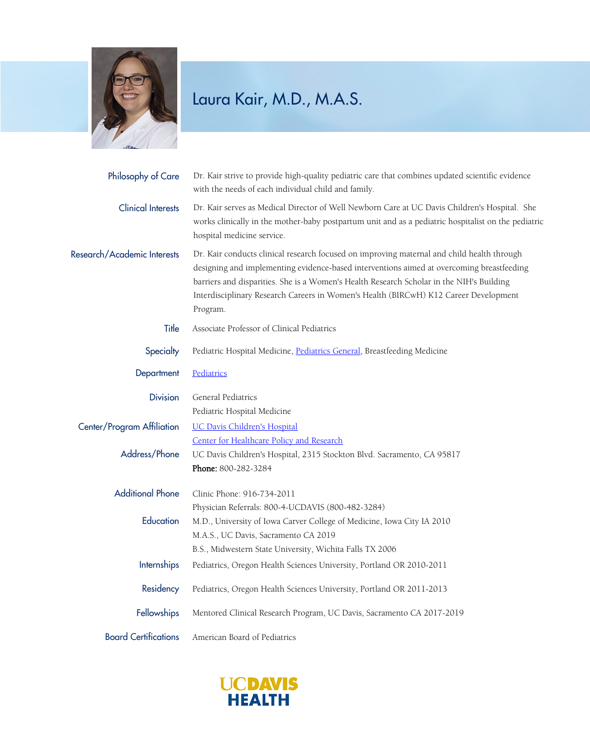

## Laura Kair, M.D., M.A.S.

| Philosophy of Care          | Dr. Kair strive to provide high-quality pediatric care that combines updated scientific evidence<br>with the needs of each individual child and family.                                                                                                                                                                                                                                 |
|-----------------------------|-----------------------------------------------------------------------------------------------------------------------------------------------------------------------------------------------------------------------------------------------------------------------------------------------------------------------------------------------------------------------------------------|
| <b>Clinical Interests</b>   | Dr. Kair serves as Medical Director of Well Newborn Care at UC Davis Children's Hospital. She<br>works clinically in the mother-baby postpartum unit and as a pediatric hospitalist on the pediatric<br>hospital medicine service.                                                                                                                                                      |
| Research/Academic Interests | Dr. Kair conducts clinical research focused on improving maternal and child health through<br>designing and implementing evidence-based interventions aimed at overcoming breastfeeding<br>barriers and disparities. She is a Women's Health Research Scholar in the NIH's Building<br>Interdisciplinary Research Careers in Women's Health (BIRCwH) K12 Career Development<br>Program. |
| Title                       | Associate Professor of Clinical Pediatrics                                                                                                                                                                                                                                                                                                                                              |
| Specialty                   | Pediatric Hospital Medicine, Pediatrics General, Breastfeeding Medicine                                                                                                                                                                                                                                                                                                                 |
| Department                  | Pediatrics                                                                                                                                                                                                                                                                                                                                                                              |
| <b>Division</b>             | General Pediatrics                                                                                                                                                                                                                                                                                                                                                                      |
|                             | Pediatric Hospital Medicine                                                                                                                                                                                                                                                                                                                                                             |
| Center/Program Affiliation  | <b>UC Davis Children's Hospital</b>                                                                                                                                                                                                                                                                                                                                                     |
|                             | Center for Healthcare Policy and Research                                                                                                                                                                                                                                                                                                                                               |
| Address/Phone               | UC Davis Children's Hospital, 2315 Stockton Blvd. Sacramento, CA 95817                                                                                                                                                                                                                                                                                                                  |
|                             | Phone: 800-282-3284                                                                                                                                                                                                                                                                                                                                                                     |
| <b>Additional Phone</b>     | Clinic Phone: 916-734-2011                                                                                                                                                                                                                                                                                                                                                              |
|                             | Physician Referrals: 800-4-UCDAVIS (800-482-3284)                                                                                                                                                                                                                                                                                                                                       |
| Education                   | M.D., University of Iowa Carver College of Medicine, Iowa City IA 2010                                                                                                                                                                                                                                                                                                                  |
|                             | M.A.S., UC Davis, Sacramento CA 2019                                                                                                                                                                                                                                                                                                                                                    |
|                             | B.S., Midwestern State University, Wichita Falls TX 2006                                                                                                                                                                                                                                                                                                                                |
| Internships                 | Pediatrics, Oregon Health Sciences University, Portland OR 2010-2011                                                                                                                                                                                                                                                                                                                    |
| Residency                   | Pediatrics, Oregon Health Sciences University, Portland OR 2011-2013                                                                                                                                                                                                                                                                                                                    |
| Fellowships                 | Mentored Clinical Research Program, UC Davis, Sacramento CA 2017-2019                                                                                                                                                                                                                                                                                                                   |
| <b>Board Certifications</b> | American Board of Pediatrics                                                                                                                                                                                                                                                                                                                                                            |